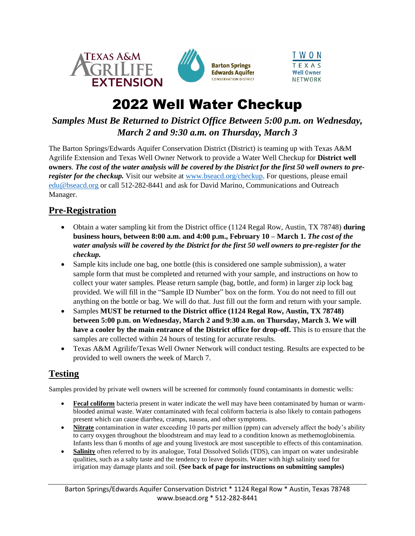



## 2022 Well Water Checkup

## *Samples Must Be Returned to District Office Between 5:00 p.m. on Wednesday, March 2 and 9:30 a.m. on Thursday, March 3*

The Barton Springs/Edwards Aquifer Conservation District (District) is teaming up with Texas A&M Agrilife Extension and Texas Well Owner Network to provide a Water Well Checkup for **District well owners**. *The cost of the water analysis will be covered by the District for the first 50 well owners to preregister for the checkup.* Visit our website at [www.bseacd.org/checkup.](http://www.bseacd.org/checkup) For questions, please email [edu@bseacd.org](mailto:edu@bseacd.org) or call 512-282-8441 and ask for David Marino, Communications and Outreach Manager.

## **Pre-Registration**

- Obtain a water sampling kit from the District office (1124 Regal Row, Austin, TX 78748) **during business hours, between 8:00 a.m. and 4:00 p.m., February 10 – March 1.** *The cost of the water analysis will be covered by the District for the first 50 well owners to pre-register for the checkup.*
- Sample kits include one bag, one bottle (this is considered one sample submission), a water sample form that must be completed and returned with your sample, and instructions on how to collect your water samples. Please return sample (bag, bottle, and form) in larger zip lock bag provided. We will fill in the "Sample ID Number" box on the form. You do not need to fill out anything on the bottle or bag. We will do that. Just fill out the form and return with your sample.
- Samples **MUST be returned to the District office (1124 Regal Row, Austin, TX 78748) between 5:00 p.m. on Wednesday, March 2 and 9:30 a.m. on Thursday, March 3. We will have a cooler by the main entrance of the District office for drop-off.** This is to ensure that the samples are collected within 24 hours of testing for accurate results.
- Texas A&M Agrilife/Texas Well Owner Network will conduct testing. Results are expected to be provided to well owners the week of March 7.

### **Testing**

Samples provided by private well owners will be screened for commonly found contaminants in domestic wells:

- **Fecal coliform** bacteria present in water indicate the well may have been contaminated by human or warmblooded animal waste. Water contaminated with fecal coliform bacteria is also likely to contain pathogens present which can cause diarrhea, cramps, nausea, and other symptoms.
- **Nitrate** contamination in water exceeding 10 parts per million (ppm) can adversely affect the body's ability to carry oxygen throughout the bloodstream and may lead to a condition known as methemoglobinemia. Infants less than 6 months of age and young livestock are most susceptible to effects of this contamination.
- **Salinity** often referred to by its analogue, Total Dissolved Solids (TDS), can impart on water undesirable qualities, such as a salty taste and the tendency to leave deposits. Water with high salinity used for irrigation may damage plants and soil. **(See back of page for instructions on submitting samples)**